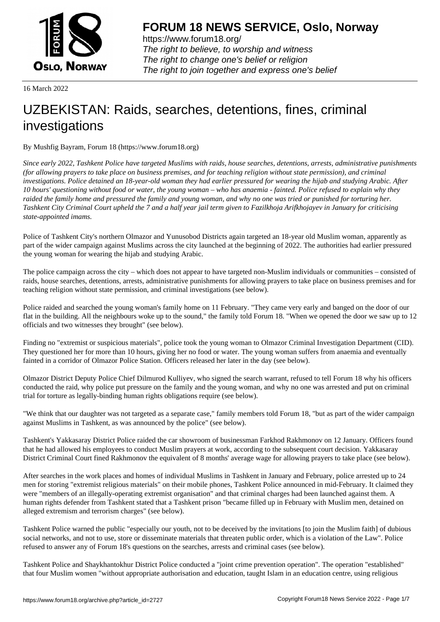

https://www.forum18.org/ The right to believe, to worship and witness The right to change one's belief or religion [The right to join together a](https://www.forum18.org/)nd express one's belief

16 March 2022

# [UZBEKISTAN:](https://www.forum18.org) Raids, searches, detentions, fines, criminal investigations

By Mushfig Bayram, Forum 18 (https://www.forum18.org)

*Since early 2022, Tashkent Police have targeted Muslims with raids, house searches, detentions, arrests, administrative punishments (for allowing prayers to take place on business premises, and for teaching religion without state permission), and criminal investigations. Police detained an 18-year-old woman they had earlier pressured for wearing the hijab and studying Arabic. After 10 hours' questioning without food or water, the young woman – who has anaemia - fainted. Police refused to explain why they raided the family home and pressured the family and young woman, and why no one was tried or punished for torturing her. Tashkent City Criminal Court upheld the 7 and a half year jail term given to Fazilkhoja Arifkhojayev in January for criticising state-appointed imams.*

Police of Tashkent City's northern Olmazor and Yunusobod Districts again targeted an 18-year old Muslim woman, apparently as part of the wider campaign against Muslims across the city launched at the beginning of 2022. The authorities had earlier pressured the young woman for wearing the hijab and studying Arabic.

The police campaign across the city – which does not appear to have targeted non-Muslim individuals or communities – consisted of raids, house searches, detentions, arrests, administrative punishments for allowing prayers to take place on business premises and for teaching religion without state permission, and criminal investigations (see below).

Police raided and searched the young woman's family home on 11 February. "They came very early and banged on the door of our flat in the building. All the neighbours woke up to the sound," the family told Forum 18. "When we opened the door we saw up to 12 officials and two witnesses they brought" (see below).

Finding no "extremist or suspicious materials", police took the young woman to Olmazor Criminal Investigation Department (CID). They questioned her for more than 10 hours, giving her no food or water. The young woman suffers from anaemia and eventually fainted in a corridor of Olmazor Police Station. Officers released her later in the day (see below).

Olmazor District Deputy Police Chief Dilmurod Kulliyev, who signed the search warrant, refused to tell Forum 18 why his officers conducted the raid, why police put pressure on the family and the young woman, and why no one was arrested and put on criminal trial for torture as legally-binding human rights obligations require (see below).

"We think that our daughter was not targeted as a separate case," family members told Forum 18, "but as part of the wider campaign against Muslims in Tashkent, as was announced by the police" (see below).

Tashkent's Yakkasaray District Police raided the car showroom of businessman Farkhod Rakhmonov on 12 January. Officers found that he had allowed his employees to conduct Muslim prayers at work, according to the subsequent court decision. Yakkasaray District Criminal Court fined Rakhmonov the equivalent of 8 months' average wage for allowing prayers to take place (see below).

After searches in the work places and homes of individual Muslims in Tashkent in January and February, police arrested up to 24 men for storing "extremist religious materials" on their mobile phones, Tashkent Police announced in mid-February. It claimed they were "members of an illegally-operating extremist organisation" and that criminal charges had been launched against them. A human rights defender from Tashkent stated that a Tashkent prison "became filled up in February with Muslim men, detained on alleged extremism and terrorism charges" (see below).

Tashkent Police warned the public "especially our youth, not to be deceived by the invitations [to join the Muslim faith] of dubious social networks, and not to use, store or disseminate materials that threaten public order, which is a violation of the Law". Police refused to answer any of Forum 18's questions on the searches, arrests and criminal cases (see below).

Tashkent Police and Shaykhantokhur District Police conducted a "joint crime prevention operation". The operation "established" that four Muslim women "without appropriate authorisation and education, taught Islam in an education centre, using religious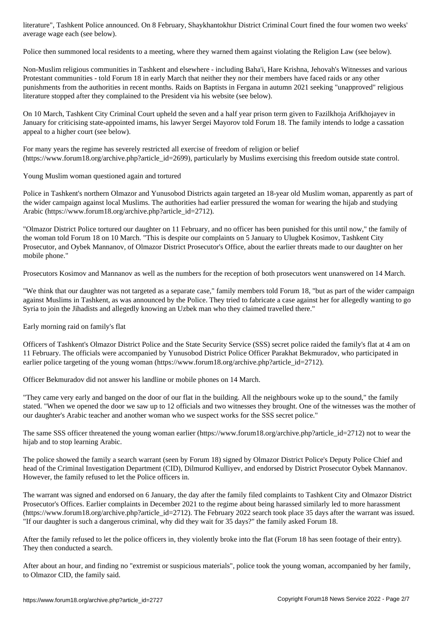average wage each (see below).

Police then summoned local residents to a meeting, where they warned them against violating the Religion Law (see below).

Non-Muslim religious communities in Tashkent and elsewhere - including Baha'i, Hare Krishna, Jehovah's Witnesses and various Protestant communities - told Forum 18 in early March that neither they nor their members have faced raids or any other punishments from the authorities in recent months. Raids on Baptists in Fergana in autumn 2021 seeking "unapproved" religious literature stopped after they complained to the President via his website (see below).

On 10 March, Tashkent City Criminal Court upheld the seven and a half year prison term given to Fazilkhoja Arifkhojayev in January for criticising state-appointed imams, his lawyer Sergei Mayorov told Forum 18. The family intends to lodge a cassation appeal to a higher court (see below).

For many years the regime has severely restricted all exercise of freedom of religion or belief (https://www.forum18.org/archive.php?article\_id=2699), particularly by Muslims exercising this freedom outside state control.

Young Muslim woman questioned again and tortured

Police in Tashkent's northern Olmazor and Yunusobod Districts again targeted an 18-year old Muslim woman, apparently as part of the wider campaign against local Muslims. The authorities had earlier pressured the woman for wearing the hijab and studying Arabic (https://www.forum18.org/archive.php?article\_id=2712).

"Olmazor District Police tortured our daughter on 11 February, and no officer has been punished for this until now," the family of the woman told Forum 18 on 10 March. "This is despite our complaints on 5 January to Ulugbek Kosimov, Tashkent City Prosecutor, and Oybek Mannanov, of Olmazor District Prosecutor's Office, about the earlier threats made to our daughter on her mobile phone."

Prosecutors Kosimov and Mannanov as well as the numbers for the reception of both prosecutors went unanswered on 14 March.

"We think that our daughter was not targeted as a separate case," family members told Forum 18, "but as part of the wider campaign against Muslims in Tashkent, as was announced by the Police. They tried to fabricate a case against her for allegedly wanting to go Syria to join the Jihadists and allegedly knowing an Uzbek man who they claimed travelled there."

Early morning raid on family's flat

Officers of Tashkent's Olmazor District Police and the State Security Service (SSS) secret police raided the family's flat at 4 am on 11 February. The officials were accompanied by Yunusobod District Police Officer Parakhat Bekmuradov, who participated in earlier police targeting of the young woman (https://www.forum18.org/archive.php?article\_id=2712).

Officer Bekmuradov did not answer his landline or mobile phones on 14 March.

"They came very early and banged on the door of our flat in the building. All the neighbours woke up to the sound," the family stated. "When we opened the door we saw up to 12 officials and two witnesses they brought. One of the witnesses was the mother of our daughter's Arabic teacher and another woman who we suspect works for the SSS secret police."

The same SSS officer threatened the young woman earlier (https://www.forum18.org/archive.php?article\_id=2712) not to wear the hijab and to stop learning Arabic.

The police showed the family a search warrant (seen by Forum 18) signed by Olmazor District Police's Deputy Police Chief and head of the Criminal Investigation Department (CID), Dilmurod Kulliyev, and endorsed by District Prosecutor Oybek Mannanov. However, the family refused to let the Police officers in.

The warrant was signed and endorsed on 6 January, the day after the family filed complaints to Tashkent City and Olmazor District Prosecutor's Offices. Earlier complaints in December 2021 to the regime about being harassed similarly led to more harassment (https://www.forum18.org/archive.php?article\_id=2712). The February 2022 search took place 35 days after the warrant was issued. "If our daughter is such a dangerous criminal, why did they wait for 35 days?" the family asked Forum 18.

After the family refused to let the police officers in, they violently broke into the flat (Forum 18 has seen footage of their entry). They then conducted a search.

After about an hour, and finding no "extremist or suspicious materials", police took the young woman, accompanied by her family, to Olmazor CID, the family said.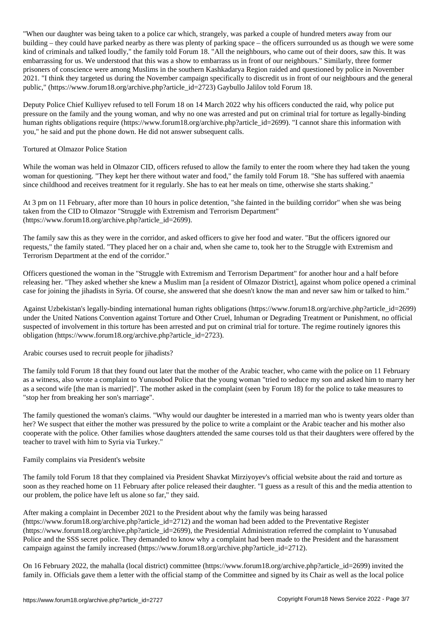when our daughter was being taken to a police car which, strangely, was parked a couple of hundred meters and building – they could have parked nearby as there was plenty of parking space – the officers surrounded us as though we were some kind of criminals and talked loudly," the family told Forum 18. "All the neighbours, who came out of their doors, saw this. It was embarrassing for us. We understood that this was a show to embarrass us in front of our neighbours." Similarly, three former prisoners of conscience were among Muslims in the southern Kashkadarya Region raided and questioned by police in November 2021. "I think they targeted us during the November campaign specifically to discredit us in front of our neighbours and the general public," (https://www.forum18.org/archive.php?article\_id=2723) Gaybullo Jalilov told Forum 18.

Deputy Police Chief Kulliyev refused to tell Forum 18 on 14 March 2022 why his officers conducted the raid, why police put pressure on the family and the young woman, and why no one was arrested and put on criminal trial for torture as legally-binding human rights obligations require (https://www.forum18.org/archive.php?article\_id=2699). "I cannot share this information with you," he said and put the phone down. He did not answer subsequent calls.

## Tortured at Olmazor Police Station

While the woman was held in Olmazor CID, officers refused to allow the family to enter the room where they had taken the young woman for questioning. "They kept her there without water and food," the family told Forum 18. "She has suffered with anaemia since childhood and receives treatment for it regularly. She has to eat her meals on time, otherwise she starts shaking."

At 3 pm on 11 February, after more than 10 hours in police detention, "she fainted in the building corridor" when she was being taken from the CID to Olmazor "Struggle with Extremism and Terrorism Department" (https://www.forum18.org/archive.php?article\_id=2699).

The family saw this as they were in the corridor, and asked officers to give her food and water. "But the officers ignored our requests," the family stated. "They placed her on a chair and, when she came to, took her to the Struggle with Extremism and Terrorism Department at the end of the corridor."

Officers questioned the woman in the "Struggle with Extremism and Terrorism Department" for another hour and a half before releasing her. "They asked whether she knew a Muslim man [a resident of Olmazor District], against whom police opened a criminal case for joining the jihadists in Syria. Of course, she answered that she doesn't know the man and never saw him or talked to him."

Against Uzbekistan's legally-binding international human rights obligations (https://www.forum18.org/archive.php?article\_id=2699) under the United Nations Convention against Torture and Other Cruel, Inhuman or Degrading Treatment or Punishment, no official suspected of involvement in this torture has been arrested and put on criminal trial for torture. The regime routinely ignores this obligation (https://www.forum18.org/archive.php?article\_id=2723).

### Arabic courses used to recruit people for jihadists?

The family told Forum 18 that they found out later that the mother of the Arabic teacher, who came with the police on 11 February as a witness, also wrote a complaint to Yunusobod Police that the young woman "tried to seduce my son and asked him to marry her as a second wife [the man is married]". The mother asked in the complaint (seen by Forum 18) for the police to take measures to "stop her from breaking her son's marriage".

The family questioned the woman's claims. "Why would our daughter be interested in a married man who is twenty years older than her? We suspect that either the mother was pressured by the police to write a complaint or the Arabic teacher and his mother also cooperate with the police. Other families whose daughters attended the same courses told us that their daughters were offered by the teacher to travel with him to Syria via Turkey."

### Family complains via President's website

The family told Forum 18 that they complained via President Shavkat Mirziyoyev's official website about the raid and torture as soon as they reached home on 11 February after police released their daughter. "I guess as a result of this and the media attention to our problem, the police have left us alone so far," they said.

After making a complaint in December 2021 to the President about why the family was being harassed (https://www.forum18.org/archive.php?article\_id=2712) and the woman had been added to the Preventative Register (https://www.forum18.org/archive.php?article\_id=2699), the Presidential Administration referred the complaint to Yunusabad Police and the SSS secret police. They demanded to know why a complaint had been made to the President and the harassment campaign against the family increased (https://www.forum18.org/archive.php?article\_id=2712).

On 16 February 2022, the mahalla (local district) committee (https://www.forum18.org/archive.php?article\_id=2699) invited the family in. Officials gave them a letter with the official stamp of the Committee and signed by its Chair as well as the local police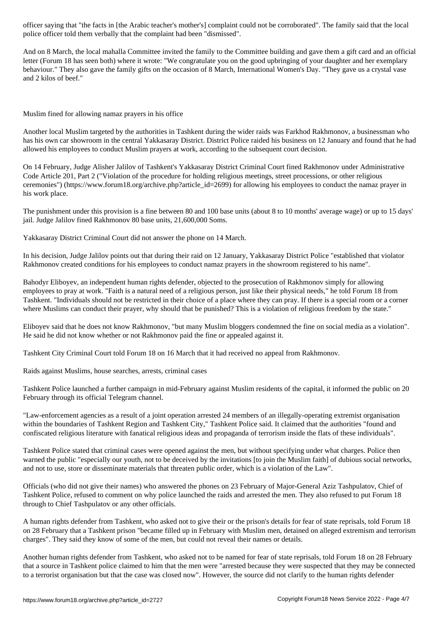police officer told them verbally that the complaint had been "dismissed".

And on 8 March, the local mahalla Committee invited the family to the Committee building and gave them a gift card and an official letter (Forum 18 has seen both) where it wrote: "We congratulate you on the good upbringing of your daughter and her exemplary behaviour." They also gave the family gifts on the occasion of 8 March, International Women's Day. "They gave us a crystal vase and 2 kilos of beef."

Muslim fined for allowing namaz prayers in his office

Another local Muslim targeted by the authorities in Tashkent during the wider raids was Farkhod Rakhmonov, a businessman who has his own car showroom in the central Yakkasaray District. District Police raided his business on 12 January and found that he had allowed his employees to conduct Muslim prayers at work, according to the subsequent court decision.

On 14 February, Judge Alisher Jalilov of Tashkent's Yakkasaray District Criminal Court fined Rakhmonov under Administrative Code Article 201, Part 2 ("Violation of the procedure for holding religious meetings, street processions, or other religious ceremonies") (https://www.forum18.org/archive.php?article\_id=2699) for allowing his employees to conduct the namaz prayer in his work place.

The punishment under this provision is a fine between 80 and 100 base units (about 8 to 10 months' average wage) or up to 15 days' jail. Judge Jalilov fined Rakhmonov 80 base units, 21,600,000 Soms.

Yakkasaray District Criminal Court did not answer the phone on 14 March.

In his decision, Judge Jalilov points out that during their raid on 12 January, Yakkasaray District Police "established that violator Rakhmonov created conditions for his employees to conduct namaz prayers in the showroom registered to his name".

Bahodyr Eliboyev, an independent human rights defender, objected to the prosecution of Rakhmonov simply for allowing employees to pray at work. "Faith is a natural need of a religious person, just like their physical needs," he told Forum 18 from Tashkent. "Individuals should not be restricted in their choice of a place where they can pray. If there is a special room or a corner where Muslims can conduct their prayer, why should that be punished? This is a violation of religious freedom by the state."

Eliboyev said that he does not know Rakhmonov, "but many Muslim bloggers condemned the fine on social media as a violation". He said he did not know whether or not Rakhmonov paid the fine or appealed against it.

Tashkent City Criminal Court told Forum 18 on 16 March that it had received no appeal from Rakhmonov.

Raids against Muslims, house searches, arrests, criminal cases

Tashkent Police launched a further campaign in mid-February against Muslim residents of the capital, it informed the public on 20 February through its official Telegram channel.

"Law-enforcement agencies as a result of a joint operation arrested 24 members of an illegally-operating extremist organisation within the boundaries of Tashkent Region and Tashkent City," Tashkent Police said. It claimed that the authorities "found and confiscated religious literature with fanatical religious ideas and propaganda of terrorism inside the flats of these individuals".

Tashkent Police stated that criminal cases were opened against the men, but without specifying under what charges. Police then warned the public "especially our youth, not to be deceived by the invitations [to join the Muslim faith] of dubious social networks, and not to use, store or disseminate materials that threaten public order, which is a violation of the Law".

Officials (who did not give their names) who answered the phones on 23 February of Major-General Aziz Tashpulatov, Chief of Tashkent Police, refused to comment on why police launched the raids and arrested the men. They also refused to put Forum 18 through to Chief Tashpulatov or any other officials.

A human rights defender from Tashkent, who asked not to give their or the prison's details for fear of state reprisals, told Forum 18 on 28 February that a Tashkent prison "became filled up in February with Muslim men, detained on alleged extremism and terrorism charges". They said they know of some of the men, but could not reveal their names or details.

Another human rights defender from Tashkent, who asked not to be named for fear of state reprisals, told Forum 18 on 28 February that a source in Tashkent police claimed to him that the men were "arrested because they were suspected that they may be connected to a terrorist organisation but that the case was closed now". However, the source did not clarify to the human rights defender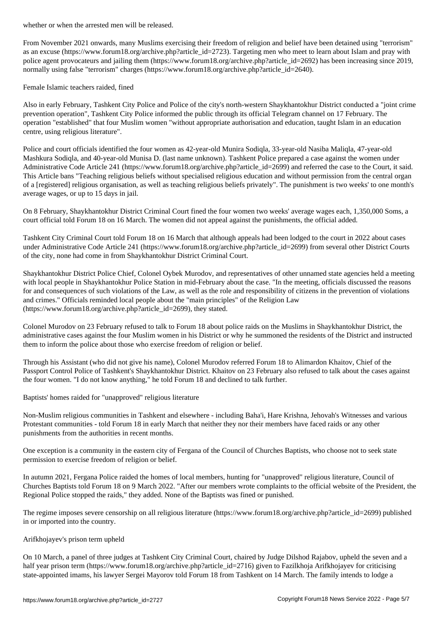From November 2021 onwards, many Muslims exercising their freedom of religion and belief have been detained using "terrorism" as an excuse (https://www.forum18.org/archive.php?article\_id=2723). Targeting men who meet to learn about Islam and pray with police agent provocateurs and jailing them (https://www.forum18.org/archive.php?article\_id=2692) has been increasing since 2019, normally using false "terrorism" charges (https://www.forum18.org/archive.php?article\_id=2640).

Female Islamic teachers raided, fined

Also in early February, Tashkent City Police and Police of the city's north-western Shaykhantokhur District conducted a "joint crime prevention operation", Tashkent City Police informed the public through its official Telegram channel on 17 February. The operation "established" that four Muslim women "without appropriate authorisation and education, taught Islam in an education centre, using religious literature".

Police and court officials identified the four women as 42-year-old Munira Sodiqla, 33-year-old Nasiba Maliqla, 47-year-old Mashkura Sodiqla, and 40-year-old Munisa D. (last name unknown). Tashkent Police prepared a case against the women under Administrative Code Article 241 (https://www.forum18.org/archive.php?article\_id=2699) and referred the case to the Court, it said. This Article bans "Teaching religious beliefs without specialised religious education and without permission from the central organ of a [registered] religious organisation, as well as teaching religious beliefs privately". The punishment is two weeks' to one month's average wages, or up to 15 days in jail.

On 8 February, Shaykhantokhur District Criminal Court fined the four women two weeks' average wages each, 1,350,000 Soms, a court official told Forum 18 on 16 March. The women did not appeal against the punishments, the official added.

Tashkent City Criminal Court told Forum 18 on 16 March that although appeals had been lodged to the court in 2022 about cases under Administrative Code Article 241 (https://www.forum18.org/archive.php?article\_id=2699) from several other District Courts of the city, none had come in from Shaykhantokhur District Criminal Court.

Shaykhantokhur District Police Chief, Colonel Oybek Murodov, and representatives of other unnamed state agencies held a meeting with local people in Shaykhantokhur Police Station in mid-February about the case. "In the meeting, officials discussed the reasons for and consequences of such violations of the Law, as well as the role and responsibility of citizens in the prevention of violations and crimes." Officials reminded local people about the "main principles" of the Religion Law (https://www.forum18.org/archive.php?article\_id=2699), they stated.

Colonel Murodov on 23 February refused to talk to Forum 18 about police raids on the Muslims in Shaykhantokhur District, the administrative cases against the four Muslim women in his District or why he summoned the residents of the District and instructed them to inform the police about those who exercise freedom of religion or belief.

Through his Assistant (who did not give his name), Colonel Murodov referred Forum 18 to Alimardon Khaitov, Chief of the Passport Control Police of Tashkent's Shaykhantokhur District. Khaitov on 23 February also refused to talk about the cases against the four women. "I do not know anything," he told Forum 18 and declined to talk further.

Baptists' homes raided for "unapproved" religious literature

Non-Muslim religious communities in Tashkent and elsewhere - including Baha'i, Hare Krishna, Jehovah's Witnesses and various Protestant communities - told Forum 18 in early March that neither they nor their members have faced raids or any other punishments from the authorities in recent months.

One exception is a community in the eastern city of Fergana of the Council of Churches Baptists, who choose not to seek state permission to exercise freedom of religion or belief.

In autumn 2021, Fergana Police raided the homes of local members, hunting for "unapproved" religious literature, Council of Churches Baptists told Forum 18 on 9 March 2022. "After our members wrote complaints to the official website of the President, the Regional Police stopped the raids," they added. None of the Baptists was fined or punished.

The regime imposes severe censorship on all religious literature (https://www.forum18.org/archive.php?article\_id=2699) published in or imported into the country.

### Arifkhojayev's prison term upheld

On 10 March, a panel of three judges at Tashkent City Criminal Court, chaired by Judge Dilshod Rajabov, upheld the seven and a half year prison term (https://www.forum18.org/archive.php?article\_id=2716) given to Fazilkhoja Arifkhojayev for criticising state-appointed imams, his lawyer Sergei Mayorov told Forum 18 from Tashkent on 14 March. The family intends to lodge a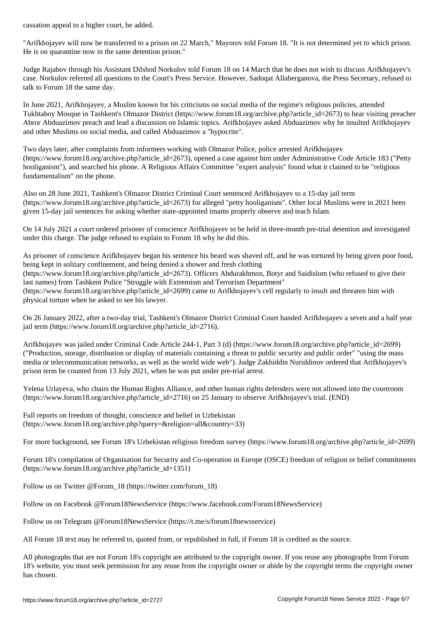"Arifkhojayev will now be transferred to a prison on 22 March," Mayorov told Forum 18. "It is not determined yet to which prison. He is on quarantine now in the same detention prison."

Judge Rajabov through his Assistant Dilshod Norkulov told Forum 18 on 14 March that he does not wish to discuss Arifkhojayev's case. Norkulov referred all questions to the Court's Press Service. However, Sadoqat Allaberganova, the Press Secretary, refused to talk to Forum 18 the same day.

In June 2021, Arifkhojayev, a Muslim known for his criticisms on social media of the regime's religious policies, attended Tukhtaboy Mosque in Tashkent's Olmazor District (https://www.forum18.org/archive.php?article\_id=2673) to hear visiting preacher Abror Abduazimov preach and lead a discussion on Islamic topics. Arifkhojayev asked Abduazimov why he insulted Arifkhojayev and other Muslims on social media, and called Abduazimov a "hypocrite".

Two days later, after complaints from informers working with Olmazor Police, police arrested Arifkhojayev (https://www.forum18.org/archive.php?article\_id=2673), opened a case against him under Administrative Code Article 183 ("Petty hooliganism"), and searched his phone. A Religious Affairs Committee "expert analysis" found what it claimed to be "religious fundamentalism" on the phone.

Also on 28 June 2021, Tashkent's Olmazor District Criminal Court sentenced Arifkhojayev to a 15-day jail term  $(\text{https://www.forum18.org/archive.php?article id=2673})$  for alleged "petty hooliganism". Other local Muslims were in 2021 been given 15-day jail sentences for asking whether state-appointed imams properly observe and teach Islam.

On 14 July 2021 a court ordered prisoner of conscience Arifkhojayev to be held in three-month pre-trial detention and investigated under this charge. The judge refused to explain to Forum 18 why he did this.

As prisoner of conscience Arifkhojayev began his sentence his beard was shaved off, and he was tortured by being given poor food, being kept in solitary confinement, and being denied a shower and fresh clothing (https://www.forum18.org/archive.php?article\_id=2673). Officers Abdurakhmon, Botyr and Saidislom (who refused to give their last names) from Tashkent Police "Struggle with Extremism and Terrorism Department" (https://www.forum18.org/archive.php?article\_id=2699) came to Arifkhojayev's cell regularly to insult and threaten him with physical torture when he asked to see his lawyer.

On 26 January 2022, after a two-day trial, Tashkent's Olmazor District Criminal Court handed Arifkhojayev a seven and a half year jail term (https://www.forum18.org/archive.php?article\_id=2716).

Arifkhojayev was jailed under Criminal Code Article 244-1, Part 3 (d) (https://www.forum18.org/archive.php?article\_id=2699) ("Production, storage, distribution or display of materials containing a threat to public security and public order" "using the mass media or telecommunication networks, as well as the world wide web"). Judge Zakhiddin Nuriddinov ordered that Arifkhojayev's prison term be counted from 13 July 2021, when he was put under pre-trial arrest.

Yelena Urlayeva, who chairs the Human Rights Alliance, and other human rights defenders were not allowed into the courtroom (https://www.forum18.org/archive.php?article\_id=2716) on 25 January to observe Arifkhojayev's trial. (END)

Full reports on freedom of thought, conscience and belief in Uzbekistan (https://www.forum18.org/archive.php?query=&religion=all&country=33)

For more background, see Forum 18's Uzbekistan religious freedom survey (https://www.forum18.org/archive.php?article\_id=2699)

Forum 18's compilation of Organisation for Security and Co-operation in Europe (OSCE) freedom of religion or belief commitments (https://www.forum18.org/archive.php?article\_id=1351)

Follow us on Twitter @Forum\_18 (https://twitter.com/forum\_18)

Follow us on Facebook @Forum18NewsService (https://www.facebook.com/Forum18NewsService)

Follow us on Telegram @Forum18NewsService (https://t.me/s/forum18newsservice)

All Forum 18 text may be referred to, quoted from, or republished in full, if Forum 18 is credited as the source.

All photographs that are not Forum 18's copyright are attributed to the copyright owner. If you reuse any photographs from Forum 18's website, you must seek permission for any reuse from the copyright owner or abide by the copyright terms the copyright owner has chosen.